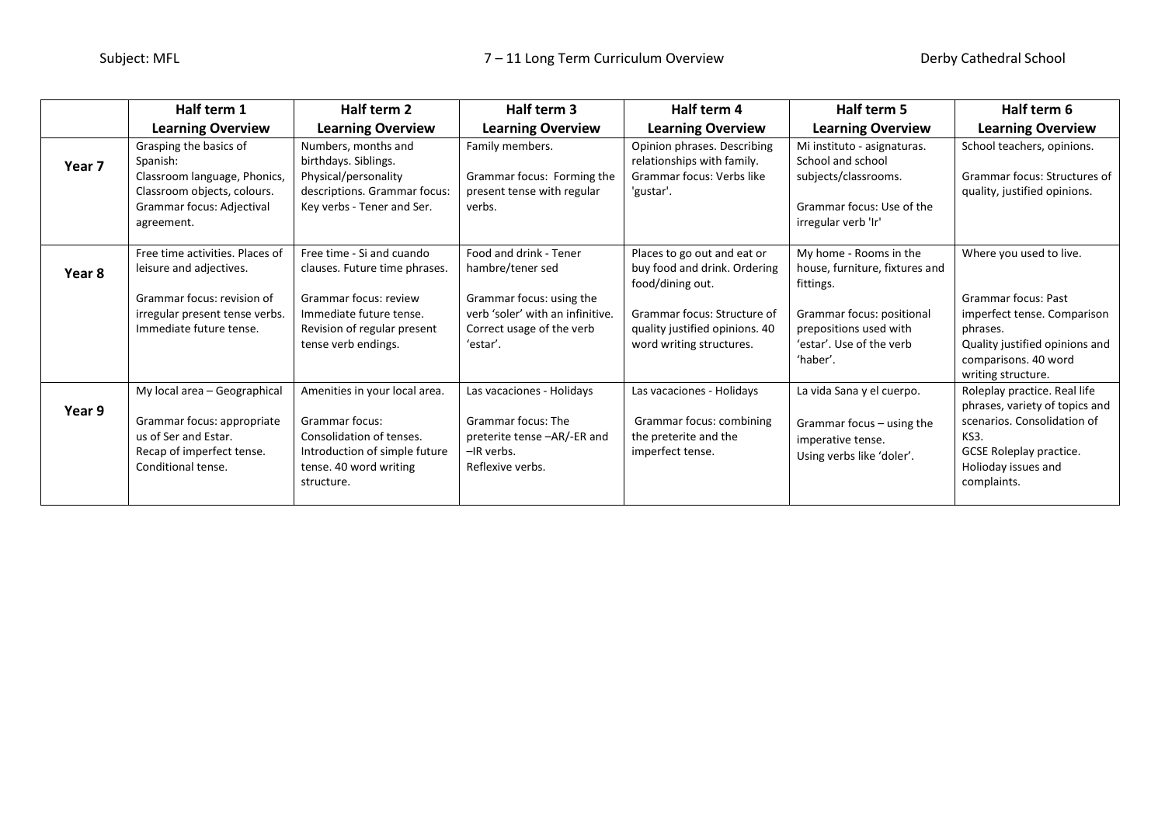|        | Half term 1                                     | Half term 2                          | Half term 3                      | Half term 4                    | Half term 5                    | Half term 6                        |
|--------|-------------------------------------------------|--------------------------------------|----------------------------------|--------------------------------|--------------------------------|------------------------------------|
|        | <b>Learning Overview</b>                        | <b>Learning Overview</b>             | <b>Learning Overview</b>         | <b>Learning Overview</b>       | <b>Learning Overview</b>       | <b>Learning Overview</b>           |
|        | Grasping the basics of                          | Numbers, months and                  | Family members.                  | Opinion phrases. Describing    | Mi instituto - asignaturas.    | School teachers, opinions.         |
| Year 7 | Spanish:                                        | birthdays. Siblings.                 |                                  | relationships with family.     | School and school              |                                    |
|        | Classroom language, Phonics,                    | Physical/personality                 | Grammar focus: Forming the       | Grammar focus: Verbs like      | subjects/classrooms.           | Grammar focus: Structures of       |
|        | Classroom objects, colours.                     | descriptions. Grammar focus:         | present tense with regular       | 'gustar'.                      |                                | quality, justified opinions.       |
|        | Grammar focus: Adjectival                       | Key verbs - Tener and Ser.           | verbs.                           |                                | Grammar focus: Use of the      |                                    |
|        | agreement.                                      |                                      |                                  |                                | irregular verb 'Ir'            |                                    |
|        | Free time activities. Places of                 | Free time - Si and cuando            | Food and drink - Tener           | Places to go out and eat or    | My home - Rooms in the         | Where you used to live.            |
| Year 8 | leisure and adjectives.                         | clauses. Future time phrases.        | hambre/tener sed                 | buy food and drink. Ordering   | house, furniture, fixtures and |                                    |
|        |                                                 |                                      |                                  | food/dining out.               | fittings.                      |                                    |
|        | Grammar focus: revision of                      | Grammar focus: review                | Grammar focus: using the         |                                |                                | Grammar focus: Past                |
|        | irregular present tense verbs.                  | Immediate future tense.              | verb 'soler' with an infinitive. | Grammar focus: Structure of    | Grammar focus: positional      | imperfect tense. Comparison        |
|        | Immediate future tense.                         | Revision of regular present          | Correct usage of the verb        | quality justified opinions. 40 | prepositions used with         | phrases.                           |
|        |                                                 | tense verb endings.                  | 'estar'.                         | word writing structures.       | 'estar'. Use of the verb       | Quality justified opinions and     |
|        |                                                 |                                      |                                  |                                | 'haber'.                       | comparisons. 40 word               |
|        |                                                 |                                      |                                  |                                |                                | writing structure.                 |
|        | My local area - Geographical                    | Amenities in your local area.        | Las vacaciones - Holidays        | Las vacaciones - Holidays      | La vida Sana y el cuerpo.      | Roleplay practice. Real life       |
| Year 9 |                                                 |                                      |                                  |                                |                                | phrases, variety of topics and     |
|        | Grammar focus: appropriate                      | Grammar focus:                       | <b>Grammar focus: The</b>        | Grammar focus: combining       | Grammar focus - using the      | scenarios. Consolidation of        |
|        | us of Ser and Estar.                            | Consolidation of tenses.             | preterite tense -AR/-ER and      | the preterite and the          | imperative tense.              | KS3.                               |
|        | Recap of imperfect tense.<br>Conditional tense. | Introduction of simple future        | -IR verbs.<br>Reflexive verbs.   | imperfect tense.               | Using verbs like 'doler'.      | <b>GCSE Roleplay practice.</b>     |
|        |                                                 | tense. 40 word writing<br>structure. |                                  |                                |                                | Holioday issues and<br>complaints. |
|        |                                                 |                                      |                                  |                                |                                |                                    |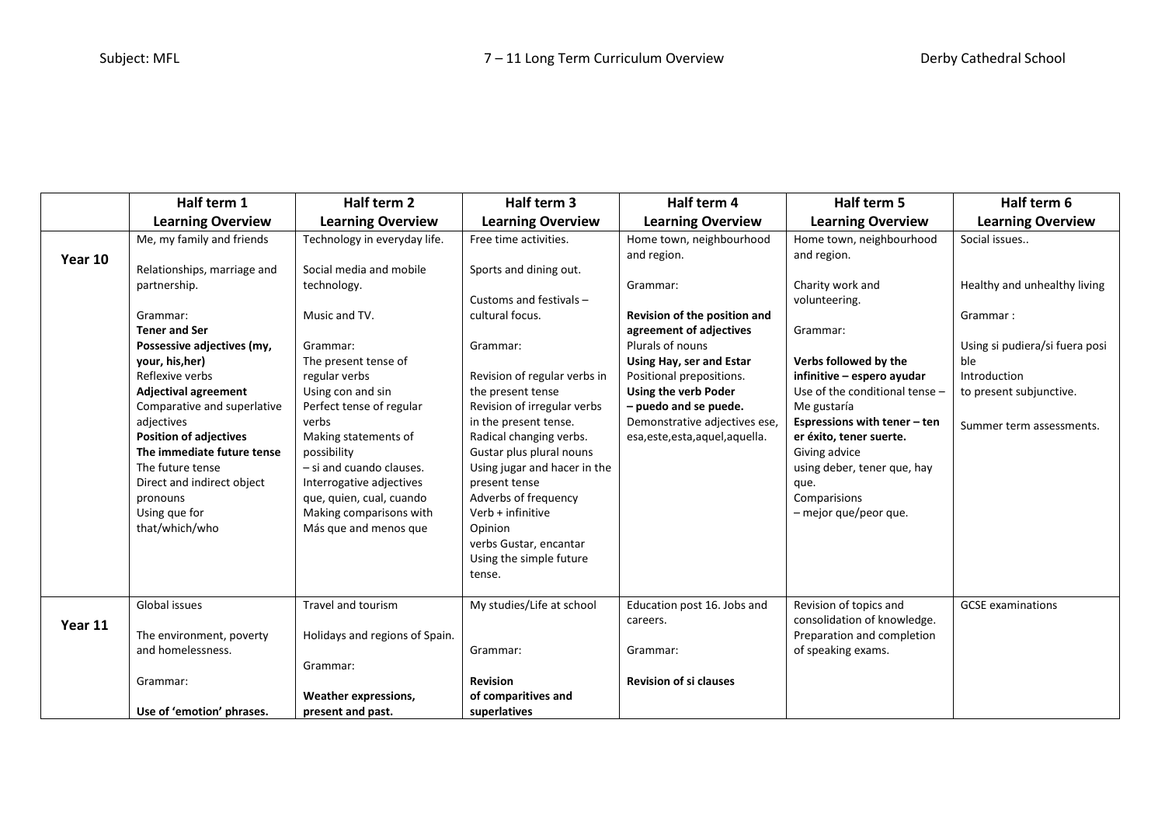|         | Half term 1                                 | Half term 2                         | Half term 3                                         | Half term 4                      | Half term 5                                             | Half term 6                    |
|---------|---------------------------------------------|-------------------------------------|-----------------------------------------------------|----------------------------------|---------------------------------------------------------|--------------------------------|
|         | <b>Learning Overview</b>                    | <b>Learning Overview</b>            | <b>Learning Overview</b>                            | <b>Learning Overview</b>         | <b>Learning Overview</b>                                | <b>Learning Overview</b>       |
|         | Me, my family and friends                   | Technology in everyday life.        | Free time activities.                               | Home town, neighbourhood         | Home town, neighbourhood                                | Social issues                  |
| Year 10 |                                             |                                     |                                                     | and region.                      | and region.                                             |                                |
|         | Relationships, marriage and                 | Social media and mobile             | Sports and dining out.                              |                                  |                                                         |                                |
|         | partnership.                                | technology.                         |                                                     | Grammar:                         | Charity work and                                        | Healthy and unhealthy living   |
|         |                                             |                                     | Customs and festivals -                             |                                  | volunteering.                                           |                                |
|         | Grammar:                                    | Music and TV.                       | cultural focus.                                     | Revision of the position and     |                                                         | Grammar:                       |
|         | <b>Tener and Ser</b>                        |                                     |                                                     | agreement of adjectives          | Grammar:                                                |                                |
|         | Possessive adjectives (my,                  | Grammar:                            | Grammar:                                            | Plurals of nouns                 |                                                         | Using si pudiera/si fuera posi |
|         | your, his, her)                             | The present tense of                |                                                     | Using Hay, ser and Estar         | Verbs followed by the                                   | ble                            |
|         | Reflexive verbs                             | regular verbs                       | Revision of regular verbs in                        | Positional prepositions.         | infinitive - espero ayudar                              | Introduction                   |
|         | <b>Adjectival agreement</b>                 | Using con and sin                   | the present tense                                   | Using the verb Poder             | Use of the conditional tense -                          | to present subjunctive.        |
|         | Comparative and superlative                 | Perfect tense of regular            | Revision of irregular verbs                         | - puedo and se puede.            | Me gustaría                                             |                                |
|         | adjectives<br><b>Position of adjectives</b> | verbs                               | in the present tense.                               | Demonstrative adjectives ese,    | Espressions with tener - ten<br>er éxito, tener suerte. | Summer term assessments.       |
|         | The immediate future tense                  | Making statements of<br>possibility | Radical changing verbs.<br>Gustar plus plural nouns | esa, este, esta, aquel, aquella. | Giving advice                                           |                                |
|         | The future tense                            | - si and cuando clauses.            | Using jugar and hacer in the                        |                                  | using deber, tener que, hay                             |                                |
|         | Direct and indirect object                  | Interrogative adjectives            | present tense                                       |                                  | que.                                                    |                                |
|         | pronouns                                    | que, quien, cual, cuando            | Adverbs of frequency                                |                                  | Comparisions                                            |                                |
|         | Using que for                               | Making comparisons with             | Verb + infinitive                                   |                                  | - mejor que/peor que.                                   |                                |
|         | that/which/who                              | Más que and menos que               | Opinion                                             |                                  |                                                         |                                |
|         |                                             |                                     | verbs Gustar, encantar                              |                                  |                                                         |                                |
|         |                                             |                                     | Using the simple future                             |                                  |                                                         |                                |
|         |                                             |                                     | tense.                                              |                                  |                                                         |                                |
|         |                                             |                                     |                                                     |                                  |                                                         |                                |
|         | Global issues                               | Travel and tourism                  | My studies/Life at school                           | Education post 16. Jobs and      | Revision of topics and                                  | <b>GCSE</b> examinations       |
| Year 11 |                                             |                                     |                                                     | careers.                         | consolidation of knowledge.                             |                                |
|         | The environment, poverty                    | Holidays and regions of Spain.      |                                                     |                                  | Preparation and completion                              |                                |
|         | and homelessness.                           |                                     | Grammar:                                            | Grammar:                         | of speaking exams.                                      |                                |
|         |                                             | Grammar:                            |                                                     |                                  |                                                         |                                |
|         | Grammar:                                    |                                     | <b>Revision</b>                                     | <b>Revision of si clauses</b>    |                                                         |                                |
|         |                                             | <b>Weather expressions,</b>         | of comparitives and                                 |                                  |                                                         |                                |
|         | Use of 'emotion' phrases.                   | present and past.                   | superlatives                                        |                                  |                                                         |                                |